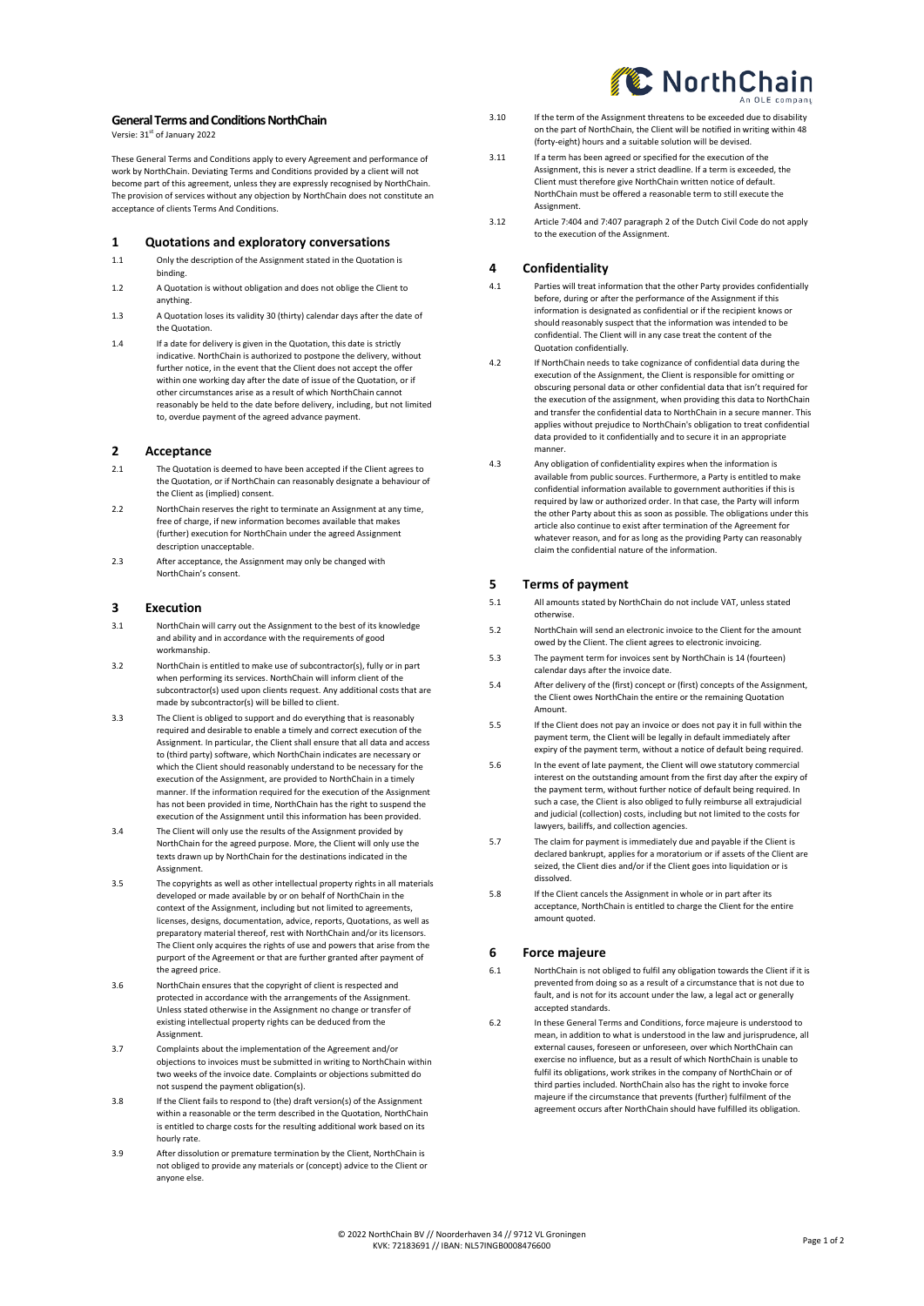### **General Terms and Conditions NorthChain**

Versie: 31<sup>st</sup> of January 2022

These General Terms and Conditions apply to every Agreement and performance of work by NorthChain. Deviating Terms and Conditions provided by a client will not become part of this agreement, unless they are expressly recognised by NorthChain. The provision of services without any objection by NorthChain does not constitute an acceptance of clients Terms And Conditions.

### **1 Quotations and exploratory conversations**

- 1.1 Only the description of the Assignment stated in the Quotation is binding.
- 1.2 A Quotation is without obligation and does not oblige the Client to anything.
- 1.3 A Quotation loses its validity 30 (thirty) calendar days after the date of the Quotation.
- 1.4 If a date for delivery is given in the Quotation, this date is strictly indicative. NorthChain is authorized to postpone the delivery, without further notice, in the event that the Client does not accept the offer within one working day after the date of issue of the Quotation, or if other circumstances arise as a result of which NorthChain cannot reasonably be held to the date before delivery, including, but not limited to, overdue payment of the agreed advance payment.

# **2 Acceptance**

- 2.1 The Quotation is deemed to have been accepted if the Client agrees to the Quotation, or if NorthChain can reasonably designate a behaviour of the Client as (implied) consent.
- 2.2 NorthChain reserves the right to terminate an Assignment at any time, free of charge, if new information becomes available that makes (further) execution for NorthChain under the agreed Assignment description unacceptable.
- 2.3 After acceptance, the Assignment may only be changed with NorthChain's consent.

# **3 Execution**

- 3.1 NorthChain will carry out the Assignment to the best of its knowledge and ability and in accordance with the requirements of good workmanship.
- 3.2 NorthChain is entitled to make use of subcontractor(s), fully or in part when performing its services. NorthChain will inform client of the subcontractor(s) used upon clients request. Any additional costs that are made by subcontractor(s) will be billed to client.
- 3.3 The Client is obliged to support and do everything that is reasonably required and desirable to enable a timely and correct execution of the Assignment. In particular, the Client shall ensure that all data and access to (third party) software, which NorthChain indicates are necessary or which the Client should reasonably understand to be necessary for the execution of the Assignment, are provided to NorthChain in a timely manner. If the information required for the execution of the Assignment has not been provided in time, NorthChain has the right to suspend the execution of the Assignment until this information has been provided.
- 3.4 The Client will only use the results of the Assignment provided by NorthChain for the agreed purpose. More, the Client will only use the texts drawn up by NorthChain for the destinations indicated in the Assignment.
- 3.5 The copyrights as well as other intellectual property rights in all materials developed or made available by or on behalf of NorthChain in the context of the Assignment, including but not limited to agreements, licenses, designs, documentation, advice, reports, Quotations, as well as preparatory material thereof, rest with NorthChain and/or its licensors. The Client only acquires the rights of use and powers that arise from the purport of the Agreement or that are further granted after payment of the agreed price.
- 3.6 NorthChain ensures that the copyright of client is respected and protected in accordance with the arrangements of the Assignment. Unless stated otherwise in the Assignment no change or transfer of existing intellectual property rights can be deduced from the Assignment.
- 3.7 Complaints about the implementation of the Agreement and/or objections to invoices must be submitted in writing to NorthChain within two weeks of the invoice date. Complaints or objections submitted do not suspend the payment obligation(s).
- 3.8 If the Client fails to respond to (the) draft version(s) of the Assignment within a reasonable or the term described in the Quotation, NorthChain is entitled to charge costs for the resulting additional work based on its hourly rate.
- 3.9 After dissolution or premature termination by the Client, NorthChain is not obliged to provide any materials or (concept) advice to the Client or anyone else.
- 3.10 If the term of the Assignment threatens to be exceeded due to disability on the part of NorthChain, the Client will be notified in writing within 48 (forty-eight) hours and a suitable solution will be devised.
- 3.11 If a term has been agreed or specified for the execution of the Assignment, this is never a strict deadline. If a term is exceeded, the Client must therefore give NorthChain written notice of default. NorthChain must be offered a reasonable term to still execute the **Assignment**
- 3.12 Article 7:404 and 7:407 paragraph 2 of the Dutch Civil Code do not apply to the execution of the Assignment.

# **4 Confidentiality**

- 4.1 Parties will treat information that the other Party provides confidentially before, during or after the performance of the Assignment if this information is designated as confidential or if the recipient knows or should reasonably suspect that the information was intended to be confidential. The Client will in any case treat the content of the Quotation confidentially.
- 4.2 If NorthChain needs to take cognizance of confidential data during the execution of the Assignment, the Client is responsible for omitting or obscuring personal data or other confidential data that isn't required for the execution of the assignment, when providing this data to NorthChain and transfer the confidential data to NorthChain in a secure manner. This applies without prejudice to NorthChain's obligation to treat confidential data provided to it confidentially and to secure it in an appropriate manner.
- 4.3 Any obligation of confidentiality expires when the information is available from public sources. Furthermore, a Party is entitled to make confidential information available to government authorities if this is required by law or authorized order. In that case, the Party will inform the other Party about this as soon as possible. The obligations under this article also continue to exist after termination of the Agreement for whatever reason, and for as long as the providing Party can reasonably claim the confidential nature of the information.

# **5 Terms of payment**

- 5.1 All amounts stated by NorthChain do not include VAT, unless stated otherwise.
- 5.2 NorthChain will send an electronic invoice to the Client for the amount owed by the Client. The client agrees to electronic invoicing.
- 5.3 The payment term for invoices sent by NorthChain is 14 (fourteen) calendar days after the invoice date.
- 5.4 After delivery of the (first) concept or (first) concepts of the Assignment, the Client owes NorthChain the entire or the remaining Quotation Amount.
- 5.5 If the Client does not pay an invoice or does not pay it in full within the payment term, the Client will be legally in default immediately after expiry of the payment term, without a notice of default being required.
- 5.6 In the event of late payment, the Client will owe statutory commercial interest on the outstanding amount from the first day after the expiry of the payment term, without further notice of default being required. In such a case, the Client is also obliged to fully reimburse all extrajudicial and judicial (collection) costs, including but not limited to the costs for lawyers, bailiffs, and collection agencies.
- 5.7 The claim for payment is immediately due and payable if the Client is declared bankrupt, applies for a moratorium or if assets of the Client are seized, the Client dies and/or if the Client goes into liquidation or is dissolved.
- 5.8 If the Client cancels the Assignment in whole or in part after its acceptance, NorthChain is entitled to charge the Client for the entire amount quoted.

# **6 Force majeure**

- 6.1 NorthChain is not obliged to fulfil any obligation towards the Client if it is prevented from doing so as a result of a circumstance that is not due to fault, and is not for its account under the law, a legal act or generally accepted standards.
- 6.2 In these General Terms and Conditions, force majeure is understood to mean, in addition to what is understood in the law and jurisprudence, all external causes, foreseen or unforeseen, over which NorthChain can exercise no influence, but as a result of which NorthChain is unable to fulfil its obligations, work strikes in the company of NorthChain or of third parties included. NorthChain also has the right to invoke force majeure if the circumstance that prevents (further) fulfilment of the agreement occurs after NorthChain should have fulfilled its obligation.